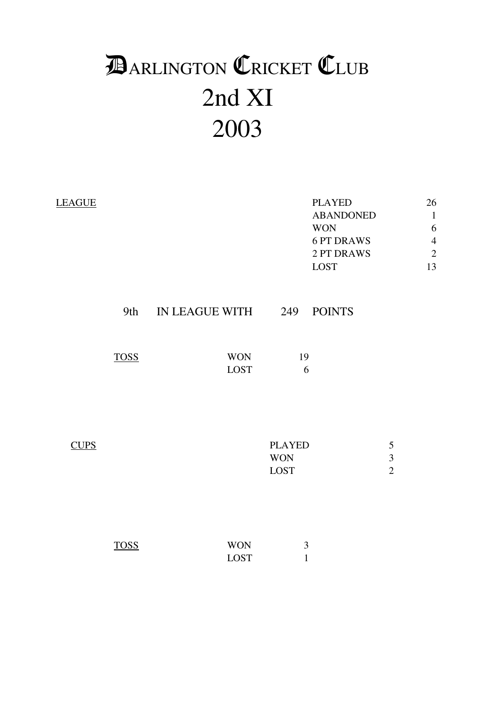# 2nd XI 2003 **DARLINGTON CRICKET CLUB**

| <b>LEAGUE</b> |             |                           |                                            | <b>PLAYED</b><br><b>ABANDONED</b><br><b>WON</b><br><b>6 PT DRAWS</b><br>2 PT DRAWS<br><b>LOST</b> |                                            | 26<br>$\mathbf{1}$<br>6<br>$\overline{4}$<br>$\overline{c}$<br>13 |
|---------------|-------------|---------------------------|--------------------------------------------|---------------------------------------------------------------------------------------------------|--------------------------------------------|-------------------------------------------------------------------|
|               | 9th         | IN LEAGUE WITH 249        |                                            | <b>POINTS</b>                                                                                     |                                            |                                                                   |
|               | <b>TOSS</b> | <b>WON</b><br><b>LOST</b> | 19<br>6                                    |                                                                                                   |                                            |                                                                   |
| <b>CUPS</b>   |             |                           | <b>PLAYED</b><br><b>WON</b><br><b>LOST</b> |                                                                                                   | $\sqrt{5}$<br>$\sqrt{3}$<br>$\overline{2}$ |                                                                   |
|               | <b>TOSS</b> | <b>WON</b><br><b>LOST</b> | 3<br>$\mathbf{1}$                          |                                                                                                   |                                            |                                                                   |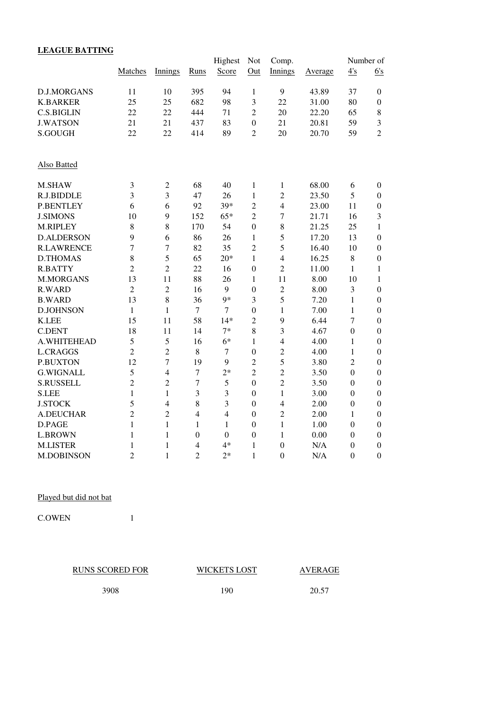## **LEAGUE BATTING**

|                   |                |                |                  | Highest          | Not              | Comp.            |         |                  | Number of        |
|-------------------|----------------|----------------|------------------|------------------|------------------|------------------|---------|------------------|------------------|
|                   | Matches        | Innings        | <b>Runs</b>      | Score            | Out              | Innings          | Average | 4's              | 6's              |
| D.J.MORGANS       | 11             | 10             | 395              | 94               | $\mathbf{1}$     | 9                | 43.89   | 37               | $\boldsymbol{0}$ |
| <b>K.BARKER</b>   | 25             | 25             | 682              | 98               | 3                | 22               | 31.00   | 80               | $\boldsymbol{0}$ |
| <b>C.S.BIGLIN</b> | 22             | 22             | 444              | 71               | $\overline{2}$   | 20               | 22.20   | 65               | 8                |
| <b>J.WATSON</b>   | 21             | 21             | 437              | 83               | $\overline{0}$   | 21               | 20.81   | 59               | 3                |
| S.GOUGH           | 22             | 22             | 414              | 89               | $\overline{2}$   | 20               | 20.70   | 59               | $\overline{2}$   |
| Also Batted       |                |                |                  |                  |                  |                  |         |                  |                  |
| M.SHAW            | 3              | $\sqrt{2}$     | 68               | 40               | 1                | $\mathbf{1}$     | 68.00   | 6                | $\boldsymbol{0}$ |
| R.J.BIDDLE        | 3              | 3              | 47               | 26               | $\mathbf{1}$     | $\overline{2}$   | 23.50   | 5                | $\boldsymbol{0}$ |
| <b>P.BENTLEY</b>  | 6              | 6              | 92               | 39*              | $\overline{2}$   | $\overline{4}$   | 23.00   | 11               | $\boldsymbol{0}$ |
| <b>J.SIMONS</b>   | 10             | 9              | 152              | $65*$            | $\overline{2}$   | 7                | 21.71   | 16               | 3                |
| M.RIPLEY          | 8              | 8              | 170              | 54               | $\boldsymbol{0}$ | $\,8\,$          | 21.25   | 25               | $\mathbf{1}$     |
| <b>D.ALDERSON</b> | 9              | 6              | 86               | 26               | 1                | 5                | 17.20   | 13               | $\boldsymbol{0}$ |
| <b>R.LAWRENCE</b> | $\overline{7}$ | $\overline{7}$ | 82               | 35               | $\overline{2}$   | 5                | 16.40   | 10               | $\boldsymbol{0}$ |
| <b>D.THOMAS</b>   | 8              | 5              | 65               | $20*$            | $\mathbf{1}$     | $\overline{4}$   | 16.25   | $\,8\,$          | $\boldsymbol{0}$ |
| <b>R.BATTY</b>    | $\overline{2}$ | $\overline{2}$ | 22               | 16               | $\overline{0}$   | $\overline{2}$   | 11.00   | $\mathbf{1}$     | 1                |
| M.MORGANS         | 13             | 11             | 88               | 26               | $\mathbf{1}$     | 11               | 8.00    | 10               | $\mathbf{1}$     |
| <b>R.WARD</b>     | $\overline{2}$ | $\overline{c}$ | 16               | 9                | $\boldsymbol{0}$ | $\sqrt{2}$       | 8.00    | 3                | $\mathbf{0}$     |
| <b>B.WARD</b>     | 13             | 8              | 36               | $9*$             | 3                | 5                | 7.20    | $\mathbf{1}$     | $\boldsymbol{0}$ |
| <b>D.JOHNSON</b>  | $\mathbf{1}$   | $\mathbf{1}$   | $\overline{7}$   | $\overline{7}$   | $\boldsymbol{0}$ | $\mathbf{1}$     | 7.00    | 1                | $\boldsymbol{0}$ |
| <b>K.LEE</b>      | 15             | 11             | 58               | $14*$            | $\overline{2}$   | 9                | 6.44    | $\overline{7}$   | $\boldsymbol{0}$ |
| <b>C.DENT</b>     | 18             | 11             | 14               | $7*$             | 8                | 3                | 4.67    | $\mathbf{0}$     | $\boldsymbol{0}$ |
| A.WHITEHEAD       | 5              | 5              | 16               | $6*$             | 1                | $\overline{4}$   | 4.00    | $\mathbf{1}$     | $\boldsymbol{0}$ |
| <b>L.CRAGGS</b>   | $\overline{2}$ | $\overline{2}$ | 8                | $\tau$           | $\boldsymbol{0}$ | $\overline{2}$   | 4.00    | $\mathbf{1}$     | $\boldsymbol{0}$ |
| <b>P.BUXTON</b>   | 12             | $\overline{7}$ | 19               | 9                | $\overline{2}$   | 5                | 3.80    | $\overline{2}$   | $\boldsymbol{0}$ |
| <b>G.WIGNALL</b>  | 5              | $\overline{4}$ | $\boldsymbol{7}$ | $2*$             | $\overline{2}$   | $\overline{2}$   | 3.50    | $\boldsymbol{0}$ | $\boldsymbol{0}$ |
| <b>S.RUSSELL</b>  | $\overline{2}$ | $\overline{2}$ | $\tau$           | 5                | $\overline{0}$   | $\overline{2}$   | 3.50    | $\boldsymbol{0}$ | $\boldsymbol{0}$ |
| <b>S.LEE</b>      | $\mathbf{1}$   | $\mathbf{1}$   | $\mathfrak{Z}$   | 3                | $\boldsymbol{0}$ | $\mathbf{1}$     | 3.00    | $\boldsymbol{0}$ | $\boldsymbol{0}$ |
| <b>J.STOCK</b>    | 5              | $\overline{4}$ | $\,8\,$          | 3                | $\boldsymbol{0}$ | $\overline{4}$   | 2.00    | $\boldsymbol{0}$ | $\boldsymbol{0}$ |
| <b>A.DEUCHAR</b>  | $\overline{2}$ | $\overline{2}$ | $\overline{4}$   | $\overline{4}$   | $\boldsymbol{0}$ | $\overline{2}$   | 2.00    | 1                | $\boldsymbol{0}$ |
| D.PAGE            | $\mathbf{1}$   | $\mathbf{1}$   | $\mathbf{1}$     | $\mathbf{1}$     | $\boldsymbol{0}$ | $\mathbf{1}$     | 1.00    | $\boldsymbol{0}$ | $\boldsymbol{0}$ |
| <b>L.BROWN</b>    | $\mathbf{1}$   | $\mathbf{1}$   | $\overline{0}$   | $\boldsymbol{0}$ | $\boldsymbol{0}$ | $\mathbf{1}$     | 0.00    | $\boldsymbol{0}$ | $\boldsymbol{0}$ |
| <b>M.LISTER</b>   | 1              | 1              | $\overline{4}$   | $4*$             | 1                | $\boldsymbol{0}$ | N/A     | $\boldsymbol{0}$ | $\boldsymbol{0}$ |
| <b>M.DOBINSON</b> | $\overline{2}$ | $\mathbf{1}$   | $\overline{2}$   | $2*$             | $\mathbf{1}$     | $\overline{0}$   | N/A     | $\overline{0}$   | $\mathbf{0}$     |

Played but did not bat

C.OWEN 1

| <b>RUNS SCORED FOR</b> | <b>WICKETS LOST</b> | AVERAGE |
|------------------------|---------------------|---------|
| 3908                   | 190                 | 20.57   |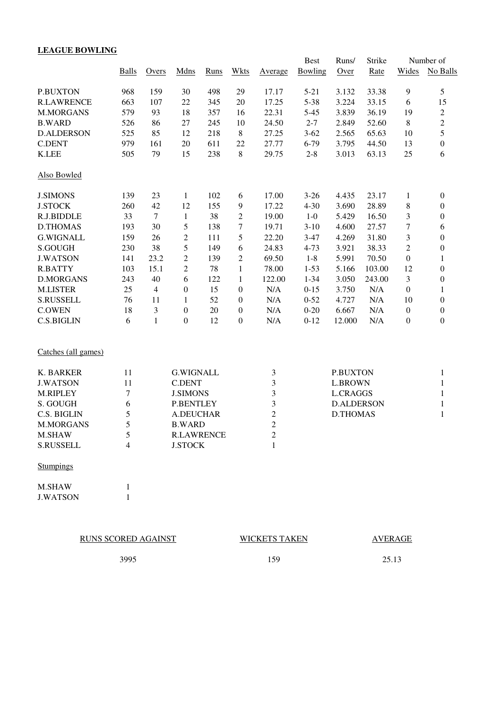## **LEAGUE BOWLING**

|                     |                |                |                   |             |                  |                         | <b>Best</b> | Runs/             | Strike |                  | Number of        |
|---------------------|----------------|----------------|-------------------|-------------|------------------|-------------------------|-------------|-------------------|--------|------------------|------------------|
|                     | <b>Balls</b>   | Overs          | Mdns              | <b>Runs</b> | <b>Wkts</b>      | Average                 | Bowling     | Over              | Rate   | Wides            | No Balls         |
| <b>P.BUXTON</b>     | 968            | 159            | 30                | 498         | 29               | 17.17                   | $5 - 21$    | 3.132             | 33.38  | 9                | 5                |
| <b>R.LAWRENCE</b>   | 663            | 107            | 22                | 345         | 20               | 17.25                   | $5 - 38$    | 3.224             | 33.15  | 6                | 15               |
| <b>M.MORGANS</b>    | 579            | 93             | 18                | 357         | 16               | 22.31                   | $5 - 45$    | 3.839             | 36.19  | 19               | $\overline{c}$   |
| <b>B.WARD</b>       | 526            | 86             | 27                | 245         | 10               | 24.50                   | $2 - 7$     | 2.849             | 52.60  | 8                | $\overline{c}$   |
| <b>D.ALDERSON</b>   | 525            | 85             | 12                | 218         | $\,8\,$          | 27.25                   | $3 - 62$    | 2.565             | 65.63  | 10               | 5                |
| <b>C.DENT</b>       | 979            | 161            | 20                | 611         | 22               | 27.77                   | 6-79        | 3.795             | 44.50  | 13               | $\boldsymbol{0}$ |
| <b>K.LEE</b>        | 505            | 79             | 15                | 238         | $\,8\,$          | 29.75                   | $2 - 8$     | 3.013             | 63.13  | 25               | 6                |
| Also Bowled         |                |                |                   |             |                  |                         |             |                   |        |                  |                  |
| <b>J.SIMONS</b>     | 139            | 23             | $\mathbf{1}$      | 102         | 6                | 17.00                   | $3 - 26$    | 4.435             | 23.17  | $\mathbf{1}$     | 0                |
| <b>J.STOCK</b>      | 260            | 42             | 12                | 155         | 9                | 17.22                   | $4 - 30$    | 3.690             | 28.89  | 8                | 0                |
| R.J.BIDDLE          | 33             | $\overline{7}$ | $\mathbf{1}$      | 38          | $\overline{2}$   | 19.00                   | $1-0$       | 5.429             | 16.50  | 3                | $\boldsymbol{0}$ |
| <b>D.THOMAS</b>     | 193            | 30             | 5                 | 138         | 7                | 19.71                   | $3-10$      | 4.600             | 27.57  | 7                | 6                |
| <b>G.WIGNALL</b>    | 159            | 26             | $\overline{c}$    | 111         | $\sqrt{5}$       | 22.20                   | $3 - 47$    | 4.269             | 31.80  | 3                | $\boldsymbol{0}$ |
| S.GOUGH             | 230            | 38             | 5                 | 149         | 6                | 24.83                   | $4 - 73$    | 3.921             | 38.33  | $\overline{2}$   | $\boldsymbol{0}$ |
| <b>J.WATSON</b>     | 141            | 23.2           | $\overline{2}$    | 139         | $\overline{2}$   | 69.50                   | $1 - 8$     | 5.991             | 70.50  | $\boldsymbol{0}$ | 1                |
| <b>R.BATTY</b>      | 103            | 15.1           | $\overline{2}$    | 78          | $\mathbf{1}$     | 78.00                   | $1 - 53$    | 5.166             | 103.00 | 12               | $\boldsymbol{0}$ |
| <b>D.MORGANS</b>    | 243            | 40             | 6                 | 122         | 1                | 122.00                  | $1 - 34$    | 3.050             | 243.00 | 3                | 0                |
| <b>M.LISTER</b>     | 25             | $\overline{4}$ | $\boldsymbol{0}$  | 15          | $\boldsymbol{0}$ | N/A                     | $0 - 15$    | 3.750             | N/A    | $\boldsymbol{0}$ | 1                |
| <b>S.RUSSELL</b>    | 76             | 11             | 1                 | 52          | $\boldsymbol{0}$ | N/A                     | $0 - 52$    | 4.727             | N/A    | 10               | $\boldsymbol{0}$ |
| <b>C.OWEN</b>       | 18             | 3              | $\boldsymbol{0}$  | 20          | $\boldsymbol{0}$ | $\rm N/A$               | $0 - 20$    | 6.667             | N/A    | $\boldsymbol{0}$ | $\boldsymbol{0}$ |
| <b>C.S.BIGLIN</b>   | 6              | $\mathbf{1}$   | $\boldsymbol{0}$  | 12          | $\boldsymbol{0}$ | N/A                     | $0 - 12$    | 12.000            | N/A    | $\boldsymbol{0}$ | $\boldsymbol{0}$ |
| Catches (all games) |                |                |                   |             |                  |                         |             |                   |        |                  |                  |
| K. BARKER           | 11             |                | <b>G.WIGNALL</b>  |             |                  | 3                       |             | <b>P.BUXTON</b>   |        |                  | $\mathbf{1}$     |
| <b>J.WATSON</b>     | 11             |                | <b>C.DENT</b>     |             |                  | $\overline{\mathbf{3}}$ |             | <b>L.BROWN</b>    |        |                  | 1                |
| M.RIPLEY            | $\overline{7}$ |                | <b>J.SIMONS</b>   |             |                  | 3                       |             | <b>L.CRAGGS</b>   |        |                  | $\mathbf{1}$     |
| S. GOUGH            | 6              |                | <b>P.BENTLEY</b>  |             |                  | 3                       |             | <b>D.ALDERSON</b> |        |                  | $\mathbf{1}$     |
| C.S. BIGLIN         | 5              |                | A.DEUCHAR         |             |                  | $\overline{c}$          |             | <b>D.THOMAS</b>   |        |                  | $\mathbf{1}$     |
| <b>M.MORGANS</b>    | 5              |                | <b>B.WARD</b>     |             |                  | $\overline{2}$          |             |                   |        |                  |                  |
| <b>M.SHAW</b>       | 5              |                | <b>R.LAWRENCE</b> |             |                  | $\overline{2}$          |             |                   |        |                  |                  |

**Stumpings** 

M.SHAW 1<br>J.WATSON 1 J.WATSON

RUNS SCORED AGAINST WICKETS TAKEN

M.SHAW 5 R.LAWRENCE<br>S.RUSSELL 4 J.STOCK

S.RUSSELL 4 J.STOCK 1

AVERAGE

3995 159 25.13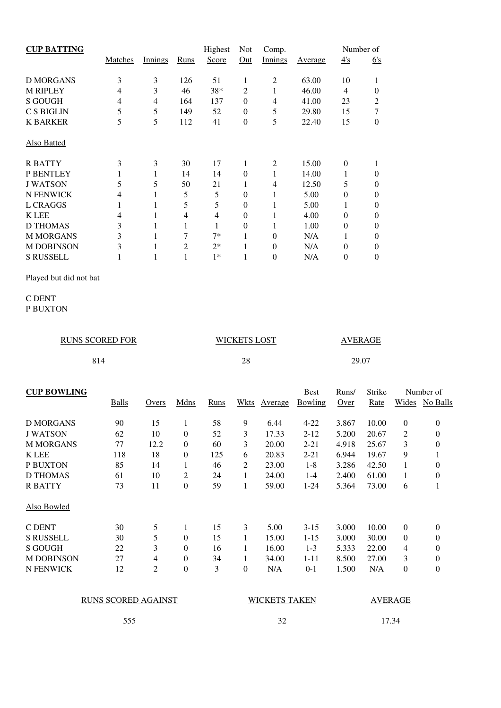| <b>CUP BATTING</b> |         |         |                | Highest | <b>Not</b>     | Comp.          |         |          | Number of |
|--------------------|---------|---------|----------------|---------|----------------|----------------|---------|----------|-----------|
|                    | Matches | Innings | Runs           | Score   | Out            | <b>Innings</b> | Average | 4's      | 6s        |
| D MORGANS          | 3       | 3       | 126            | 51      | 1              | 2              | 63.00   | 10       |           |
| <b>M RIPLEY</b>    | 4       | 3       | 46             | 38*     | $\overline{2}$ | 1              | 46.00   | 4        | $\Omega$  |
| <b>S GOUGH</b>     | 4       | 4       | 164            | 137     | $\theta$       | 4              | 41.00   | 23       | 2         |
| <b>C S BIGLIN</b>  | 5       | 5       | 149            | 52      | $\theta$       | 5              | 29.80   | 15       | 7         |
| <b>K BARKER</b>    | 5       | 5       | 112            | 41      | $\theta$       | 5              | 22.40   | 15       | $\Omega$  |
| <b>Also Batted</b> |         |         |                |         |                |                |         |          |           |
| <b>RBATTY</b>      | 3       | 3       | 30             | 17      | 1              | 2              | 15.00   | $\Omega$ |           |
| P BENTLEY          |         |         | 14             | 14      | $\Omega$       | 1              | 14.00   | I.       | $\Omega$  |
| <b>J WATSON</b>    | 5       | 5       | 50             | 21      | 1              | 4              | 12.50   | 5        | $\Omega$  |
| <b>N FENWICK</b>   | 4       |         | 5              | 5       | $\theta$       | 1              | 5.00    | $\Omega$ | $\Omega$  |
| L CRAGGS           | 1       |         | 5              | 5       | $\theta$       | 1              | 5.00    |          | $\Omega$  |
| <b>K LEE</b>       | 4       |         | 4              | 4       | $\overline{0}$ | 1              | 4.00    | $\Omega$ | $\Omega$  |
| <b>D THOMAS</b>    | 3       |         |                | 1       | $\theta$       | 1              | 1.00    | 0        | $\Omega$  |
| <b>M MORGANS</b>   | 3       |         | 7              | $7*$    | 1              | $\theta$       | N/A     |          | $\Omega$  |
| <b>M DOBINSON</b>  | 3       |         | $\overline{c}$ | $2*$    | 1              | $\theta$       | N/A     | $\Omega$ | $\Omega$  |
| <b>S RUSSELL</b>   |         |         |                | $1*$    | 1              | 0              | N/A     | 0        | $\Omega$  |

Played but did not bat

#### C DENT P BUXTON

| <b>RUNS SCORED FOR</b> | <b>WICKETS LOST</b> | AVERAGE |
|------------------------|---------------------|---------|
| 814                    | 28                  | 29.07   |

| <b>CUP BOWLING</b> |       |       |                  |      |   |              | <b>Best</b>    | Runs/ | Strike |                  | Number of      |
|--------------------|-------|-------|------------------|------|---|--------------|----------------|-------|--------|------------------|----------------|
|                    | Balls | Overs | Mdns             | Runs |   | Wkts Average | <b>Bowling</b> | Over  | Rate   |                  | Wides No Balls |
|                    |       |       |                  |      |   |              |                |       |        |                  |                |
| D MORGANS          | 90    | 15    | 1                | 58   | 9 | 6.44         | $4 - 22$       | 3.867 | 10.00  | $\theta$         | $\theta$       |
| <b>J WATSON</b>    | 62    | 10    | 0                | 52   | 3 | 17.33        | $2 - 12$       | 5.200 | 20.67  | $\overline{2}$   | $\theta$       |
| <b>M MORGANS</b>   | 77    | 12.2  | $\boldsymbol{0}$ | 60   | 3 | 20.00        | $2 - 21$       | 4.918 | 25.67  | 3                | $\theta$       |
| <b>K</b> LEE       | 118   | 18    | $\boldsymbol{0}$ | 125  | 6 | 20.83        | $2 - 21$       | 6.944 | 19.67  | 9                | 1              |
| P BUXTON           | 85    | 14    | 1                | 46   | 2 | 23.00        | $1 - 8$        | 3.286 | 42.50  | 1                | $\theta$       |
| D THOMAS           | 61    | 10    | $\overline{2}$   | 24   | 1 | 24.00        | $1 - 4$        | 2.400 | 61.00  | 1                | $\theta$       |
| <b>RBATTY</b>      | 73    | 11    | $\theta$         | 59   | 1 | 59.00        | $1 - 24$       | 5.364 | 73.00  | 6                | 1              |
| Also Bowled        |       |       |                  |      |   |              |                |       |        |                  |                |
| C DENT             | 30    | 5     | 1                | 15   | 3 | 5.00         | $3 - 15$       | 3.000 | 10.00  | $\theta$         | $\theta$       |
| <b>S RUSSELL</b>   | 30    | 5     | $\theta$         | 15   | 1 | 15.00        | $1 - 15$       | 3.000 | 30.00  | $\theta$         | $\theta$       |
| S GOUGH            | 22    | 3     | $\theta$         | 16   | 1 | 16.00        | $1-3$          | 5.333 | 22.00  | 4                | $\theta$       |
| <b>M DOBINSON</b>  | 27    | 4     | $\boldsymbol{0}$ | 34   | 1 | 34.00        | $1 - 11$       | 8.500 | 27.00  | 3                | $\theta$       |
| N FENWICK          | 12    | 2     | $\boldsymbol{0}$ | 3    | 0 | N/A          | $0 - 1$        | 1.500 | N/A    | $\boldsymbol{0}$ | $\theta$       |
|                    |       |       |                  |      |   |              |                |       |        |                  |                |

| <b>RUNS SCORED AGAINST</b> | <b>WICKETS TAKEN</b> | <b>AVERAGE</b> |
|----------------------------|----------------------|----------------|
| 555                        |                      | 17.34          |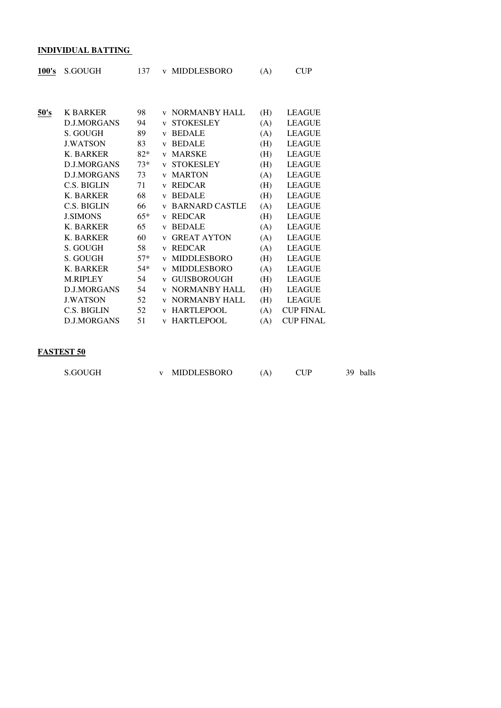#### **INDIVIDUAL BATTING**

| 100's | S.GOUGH            | 137   |                         | v MIDDLESBORO          | (A) | <b>CUP</b>       |
|-------|--------------------|-------|-------------------------|------------------------|-----|------------------|
|       |                    |       |                         |                        |     |                  |
| 50's  | <b>K BARKER</b>    | 98    |                         | <b>v NORMANBY HALL</b> | (H) | <b>LEAGUE</b>    |
|       | <b>D.J.MORGANS</b> | 94    | V                       | <b>STOKESLEY</b>       | (A) | <b>LEAGUE</b>    |
|       | S. GOUGH           | 89    | $\mathbf{V}$            | <b>BEDALE</b>          | (A) | <b>LEAGUE</b>    |
|       | <b>J.WATSON</b>    | 83    | $\mathbf{V}$            | <b>BEDALE</b>          | (H) | <b>LEAGUE</b>    |
|       | K. BARKER          | $82*$ |                         | v MARSKE               | (H) | <b>LEAGUE</b>    |
|       | <b>D.J.MORGANS</b> | $73*$ | V                       | <b>STOKESLEY</b>       | (H) | <b>LEAGUE</b>    |
|       | <b>D.J.MORGANS</b> | 73    | $\mathbf{V}$            | <b>MARTON</b>          | (A) | <b>LEAGUE</b>    |
|       | C.S. BIGLIN        | 71    | $\mathbf{V}$            | <b>REDCAR</b>          | (H) | <b>LEAGUE</b>    |
|       | K. BARKER          | 68    | $\mathbf{V}$            | <b>BEDALE</b>          | (H) | <b>LEAGUE</b>    |
|       | C.S. BIGLIN        | 66    | $\mathbf{V}$            | <b>BARNARD CASTLE</b>  | (A) | <b>LEAGUE</b>    |
|       | <b>J.SIMONS</b>    | $65*$ | $\mathbf{V}$            | <b>REDCAR</b>          | (H) | <b>LEAGUE</b>    |
|       | K. BARKER          | 65    | $\mathbf{V}$            | <b>BEDALE</b>          | (A) | <b>LEAGUE</b>    |
|       | <b>K. BARKER</b>   | 60    | $\mathbf{V}$            | <b>GREAT AYTON</b>     | (A) | <b>LEAGUE</b>    |
|       | S. GOUGH           | 58    | $\mathbf{V}$            | <b>REDCAR</b>          | (A) | <b>LEAGUE</b>    |
|       | S. GOUGH           | $57*$ | $\mathbf{V}$            | MIDDLESBORO            | (H) | <b>LEAGUE</b>    |
|       | <b>K. BARKER</b>   | $54*$ | $\mathbf{V}$            | MIDDLESBORO            | (A) | <b>LEAGUE</b>    |
|       | M.RIPLEY           | 54    | $\mathbf{V}$            | <b>GUISBOROUGH</b>     | (H) | <b>LEAGUE</b>    |
|       | <b>D.J.MORGANS</b> | 54    | $\mathbf{V}$            | <b>NORMANBY HALL</b>   | (H) | <b>LEAGUE</b>    |
|       | <b>J.WATSON</b>    | 52    | $\mathbf{V}$            | <b>NORMANBY HALL</b>   | (H) | <b>LEAGUE</b>    |
|       | C.S. BIGLIN        | 52    | $\overline{\mathbf{V}}$ | <b>HARTLEPOOL</b>      | (A) | <b>CUP FINAL</b> |
|       | <b>D.J.MORGANS</b> | 51    | $\mathbf{V}$            | <b>HARTLEPOOL</b>      | (A) | <b>CUP FINAL</b> |

#### **FASTEST 50**

| S.GOUGH |  | MIDDLESBORO |  |  | 39 balls |
|---------|--|-------------|--|--|----------|
|---------|--|-------------|--|--|----------|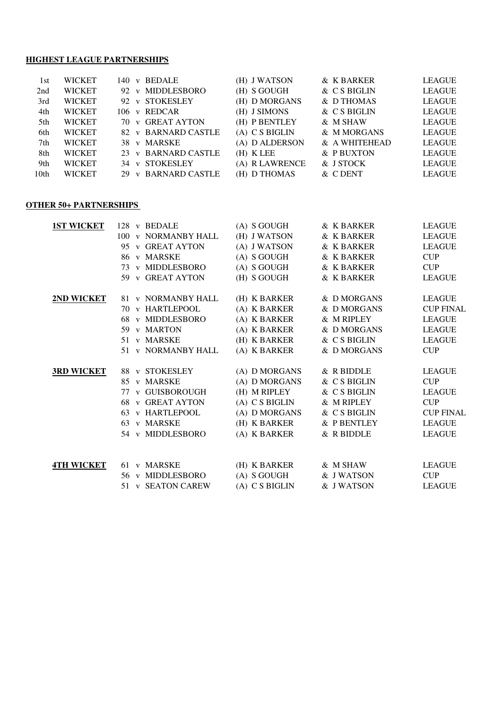#### **HIGHEST LEAGUE PARTNERSHIPS**

| 1st              | <b>WICKET</b> | 140 v BEDALE        | (H) J WATSON     | & K BARKER    | <b>LEAGUE</b> |
|------------------|---------------|---------------------|------------------|---------------|---------------|
| 2nd              | <b>WICKET</b> | 92 v MIDDLESBORO    | $(H)$ S GOUGH    | & C S BIGLIN  | <b>LEAGUE</b> |
| 3rd              | <b>WICKET</b> | 92 v STOKESLEY      | (H) D MORGANS    | & D THOMAS    | <b>LEAGUE</b> |
| 4th              | <b>WICKET</b> | 106 v REDCAR        | (H) J SIMONS     | & C S BIGLIN  | <b>LEAGUE</b> |
| 5th.             | <b>WICKET</b> | 70 v GREAT AYTON    | (H) P BENTLEY    | & M SHAW      | <b>LEAGUE</b> |
| 6th              | <b>WICKET</b> | 82 v BARNARD CASTLE | $(A)$ C S BIGLIN | & M MORGANS   | <b>LEAGUE</b> |
| 7th              | <b>WICKET</b> | 38 v MARSKE         | (A) D ALDERSON   | & A WHITEHEAD | <b>LEAGUE</b> |
| 8th              | <b>WICKET</b> | 23 v BARNARD CASTLE | $(H)$ K LEE      | & P BUXTON    | <b>LEAGUE</b> |
| 9th              | <b>WICKET</b> | 34 v STOKESLEY      | (A) R LAWRENCE   | & J STOCK     | <b>LEAGUE</b> |
| 10 <sub>th</sub> | <b>WICKET</b> | 29 v BARNARD CASTLE | (H) D THOMAS     | & CDENT       | <b>LEAGUE</b> |

# **OTHER 50+ PARTNERSHIPS**

| <b>1ST WICKET</b> | 128 v BEDALE        | (A) S GOUGH      | & K BARKER   | <b>LEAGUE</b>    |
|-------------------|---------------------|------------------|--------------|------------------|
|                   | 100 v NORMANBY HALL | (H) J WATSON     | & K BARKER   | <b>LEAGUE</b>    |
|                   | 95 v GREAT AYTON    | (A) J WATSON     | & K BARKER   | <b>LEAGUE</b>    |
|                   | 86 v MARSKE         | $(A)$ S GOUGH    | & K BARKER   | <b>CUP</b>       |
|                   | 73 v MIDDLESBORO    | $(A)$ S GOUGH    | & K BARKER   | <b>CUP</b>       |
|                   | 59 v GREAT AYTON    | (H) S GOUGH      | & K BARKER   | <b>LEAGUE</b>    |
| 2ND WICKET        | 81 v NORMANBY HALL  | (H) K BARKER     | & D MORGANS  | <b>LEAGUE</b>    |
|                   | 70 v HARTLEPOOL     | (A) K BARKER     | & D MORGANS  | <b>CUP FINAL</b> |
|                   | 68 v MIDDLESBORO    | (A) K BARKER     | & M RIPLEY   | <b>LEAGUE</b>    |
|                   | 59 v MARTON         | (A) K BARKER     | & D MORGANS  | <b>LEAGUE</b>    |
|                   | 51 v MARSKE         |                  |              |                  |
|                   |                     | (H) K BARKER     | & C S BIGLIN | <b>LEAGUE</b>    |
|                   | 51 v NORMANBY HALL  | (A) K BARKER     | & D MORGANS  | <b>CUP</b>       |
| <b>3RD WICKET</b> | 88 v STOKESLEY      | (A) D MORGANS    | & R BIDDLE   | <b>LEAGUE</b>    |
|                   | 85 v MARSKE         | (A) D MORGANS    | & C S BIGLIN | <b>CUP</b>       |
|                   | 77 v GUISBOROUGH    | (H) M RIPLEY     | & C S BIGLIN | <b>LEAGUE</b>    |
|                   | 68 v GREAT AYTON    | $(A)$ C S BIGLIN | & M RIPLEY   | <b>CUP</b>       |
|                   | 63 v HARTLEPOOL     | (A) D MORGANS    | & C S BIGLIN | <b>CUP FINAL</b> |
|                   | 63 v MARSKE         | (H) K BARKER     | & P BENTLEY  | <b>LEAGUE</b>    |
|                   | 54 v MIDDLESBORO    | (A) K BARKER     | & R BIDDLE   | <b>LEAGUE</b>    |
|                   |                     |                  |              |                  |
| <b>4TH WICKET</b> | 61 v MARSKE         | (H) K BARKER     | & M SHAW     | <b>LEAGUE</b>    |
|                   | 56 v MIDDLESBORO    | $(A)$ S GOUGH    | & J WATSON   | <b>CUP</b>       |
|                   | 51 v SEATON CAREW   | $(A)$ C S BIGLIN | & J WATSON   | <b>LEAGUE</b>    |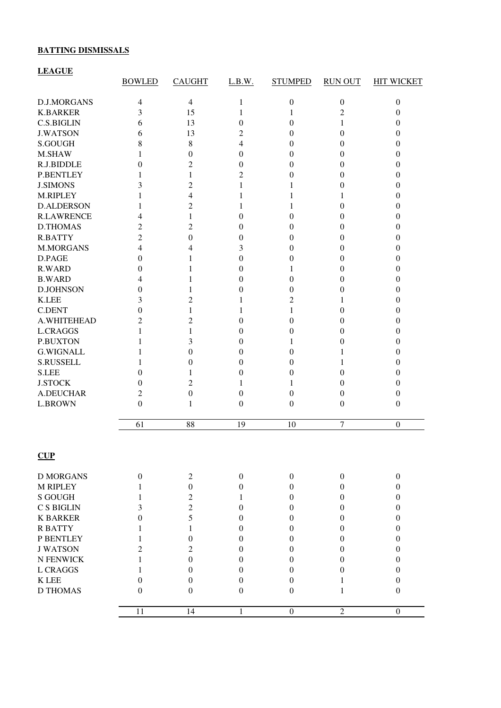## **BATTING DISMISSALS**

# **LEAGUE**

|                    | <b>BOWLED</b>    | <b>CAUGHT</b>    | L.B.W.           | <b>STUMPED</b>   | <b>RUN OUT</b>   | <b>HIT WICKET</b> |
|--------------------|------------------|------------------|------------------|------------------|------------------|-------------------|
| <b>D.J.MORGANS</b> | 4                | $\overline{4}$   | 1                | $\boldsymbol{0}$ | $\boldsymbol{0}$ | $\boldsymbol{0}$  |
| <b>K.BARKER</b>    | 3                | 15               | 1                | 1                | $\overline{c}$   | $\boldsymbol{0}$  |
| C.S.BIGLIN         | 6                | 13               | $\overline{0}$   | 0                | 1                | $\boldsymbol{0}$  |
| <b>J.WATSON</b>    | 6                | 13               | 2                | $\boldsymbol{0}$ | 0                | $\boldsymbol{0}$  |
| S.GOUGH            | 8                | 8                | 4                | $\boldsymbol{0}$ | 0                | $\boldsymbol{0}$  |
| M.SHAW             | 1                | 0                | $\overline{0}$   | $\boldsymbol{0}$ | 0                | $\boldsymbol{0}$  |
| R.J.BIDDLE         | 0                | 2                | $\boldsymbol{0}$ | $\overline{0}$   | 0                | $\boldsymbol{0}$  |
| <b>P.BENTLEY</b>   | 1                | 1                | 2                | 0                | 0                | $\theta$          |
| <b>J.SIMONS</b>    | 3                | 2                | 1                | 1                | 0                | $\boldsymbol{0}$  |
| M.RIPLEY           | 1                | 4                | 1                | 1                | 1                | $\theta$          |
| <b>D.ALDERSON</b>  | 1                | 2                | 1                | 1                | 0                | $\mathbf{0}$      |
| <b>R.LAWRENCE</b>  | 4                | 1                | $\overline{0}$   | 0                | 0                | $\theta$          |
| <b>D.THOMAS</b>    | 2                | 2                | $\overline{0}$   | $\overline{0}$   | 0                | $\theta$          |
| <b>R.BATTY</b>     | $\overline{2}$   | $\overline{0}$   | $\overline{0}$   | 0                | 0                | $\theta$          |
| <b>M.MORGANS</b>   | 4                | 4                | 3                | 0                | 0                | $\boldsymbol{0}$  |
| D.PAGE             | 0                | 1                | $\boldsymbol{0}$ | 0                | 0                | $\boldsymbol{0}$  |
| <b>R.WARD</b>      | 0                | 1                | $\boldsymbol{0}$ | 1                | 0                | $\boldsymbol{0}$  |
| <b>B.WARD</b>      | 4                | 1                | $\boldsymbol{0}$ | $\overline{0}$   | 0                | $\theta$          |
| <b>D.JOHNSON</b>   | 0                | 1                | $\boldsymbol{0}$ | 0                | 0                | $\boldsymbol{0}$  |
| <b>K.LEE</b>       | 3                | 2                | 1                | 2                | 1                | $\boldsymbol{0}$  |
| <b>C.DENT</b>      | $\overline{0}$   | 1                | 1                | 1                | 0                | $\boldsymbol{0}$  |
| A.WHITEHEAD        | 2                | $\overline{2}$   | $\boldsymbol{0}$ | 0                | 0                | $\theta$          |
| <b>L.CRAGGS</b>    | 1                | 1                | $\boldsymbol{0}$ | 0                | 0                | $\boldsymbol{0}$  |
| <b>P.BUXTON</b>    | 1                | 3                | $\overline{0}$   | 1                | 0                | $\boldsymbol{0}$  |
| <b>G.WIGNALL</b>   | 1                | 0                | $\overline{0}$   | $\theta$         | 1                | $\theta$          |
| <b>S.RUSSELL</b>   | 1                | $\overline{0}$   | $\overline{0}$   | 0                | 1                | $\mathbf{0}$      |
| <b>S.LEE</b>       | 0                | 1                | $\mathbf{0}$     | 0                | 0                | $\mathbf{0}$      |
| <b>J.STOCK</b>     | 0                | 2                | 1                | 1                | 0                | $\mathbf{0}$      |
| A.DEUCHAR          | 2                | $\boldsymbol{0}$ | $\overline{0}$   | $\boldsymbol{0}$ | 0                | $\boldsymbol{0}$  |
| <b>L.BROWN</b>     | $\theta$         | 1                | $\boldsymbol{0}$ | $\overline{0}$   | $\theta$         | $\boldsymbol{0}$  |
|                    |                  |                  |                  |                  |                  |                   |
|                    | 61               | 88               | 19               | 10               | $\tau$           | $\boldsymbol{0}$  |
| CUP                |                  |                  |                  |                  |                  |                   |
|                    |                  |                  |                  |                  |                  |                   |
| <b>D MORGANS</b>   | $\boldsymbol{0}$ | $\overline{2}$   | $\boldsymbol{0}$ | $\boldsymbol{0}$ | $\boldsymbol{0}$ | $\boldsymbol{0}$  |
| <b>M RIPLEY</b>    | 1                | $\boldsymbol{0}$ | $\boldsymbol{0}$ | $\boldsymbol{0}$ | $\boldsymbol{0}$ | $\boldsymbol{0}$  |
| <b>S GOUGH</b>     | 1                | $\overline{c}$   | 1                | $\boldsymbol{0}$ | $\boldsymbol{0}$ | $\boldsymbol{0}$  |
| C S BIGLIN         | 3                | $\overline{2}$   | $\boldsymbol{0}$ | $\theta$         | $\theta$         | $\boldsymbol{0}$  |
| <b>K BARKER</b>    | $\mathbf{0}$     | 5                | $\mathbf{0}$     | $\theta$         | 0                | $\boldsymbol{0}$  |
| <b>RBATTY</b>      | 1                | 1                | $\mathbf{0}$     | $\theta$         | $\theta$         | $\boldsymbol{0}$  |
| P BENTLEY          | 1                | $\mathbf{0}$     | $\mathbf{0}$     | $\theta$         | $\theta$         | $\boldsymbol{0}$  |
| <b>J WATSON</b>    | 2                | $\overline{2}$   | $\mathbf{0}$     | $\theta$         | $\theta$         | $\mathbf{0}$      |
| N FENWICK          | 1                | $\boldsymbol{0}$ | $\boldsymbol{0}$ | $\theta$         | $\theta$         | $\boldsymbol{0}$  |
| <b>L CRAGGS</b>    | 1                | $\mathbf{0}$     | $\mathbf{0}$     | $\overline{0}$   | $\theta$         | $\boldsymbol{0}$  |
| <b>KLEE</b>        | $\Omega$         | $\mathbf{0}$     | $\theta$         | $\boldsymbol{0}$ | 1                | $\boldsymbol{0}$  |
| <b>D THOMAS</b>    | $\theta$         | $\mathbf{0}$     | $\boldsymbol{0}$ | $\theta$         | 1                | $\boldsymbol{0}$  |
|                    | 11               | 14               | $\mathbf{1}$     | $\boldsymbol{0}$ | $\overline{2}$   | $\boldsymbol{0}$  |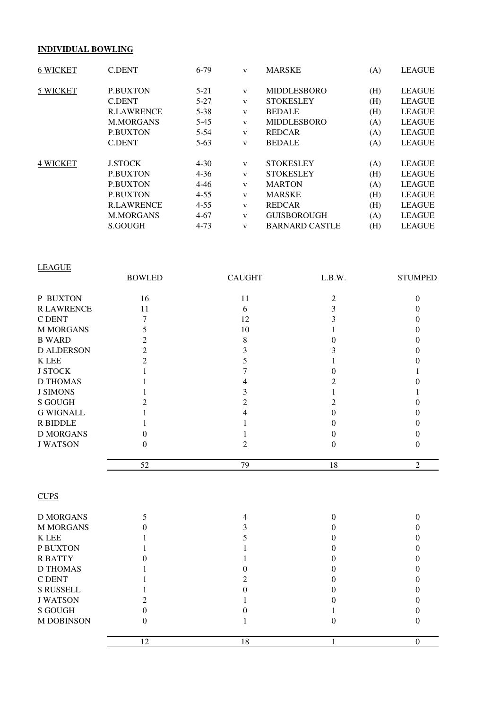## **INDIVIDUAL BOWLING**

| <b>6 WICKET</b> | <b>C.DENT</b>     | $6-79$   | V            | <b>MARSKE</b>         | (A) | <b>LEAGUE</b> |
|-----------------|-------------------|----------|--------------|-----------------------|-----|---------------|
| 5 WICKET        | <b>P.BUXTON</b>   | $5 - 21$ | $\mathbf{V}$ | <b>MIDDLESBORO</b>    | (H) | <b>LEAGUE</b> |
|                 | <b>C.DENT</b>     | $5-27$   | $\mathbf{V}$ | <b>STOKESLEY</b>      | (H) | <b>LEAGUE</b> |
|                 | <b>R.LAWRENCE</b> | $5 - 38$ | $\mathbf{V}$ | <b>BEDALE</b>         | (H) | <b>LEAGUE</b> |
|                 | <b>M.MORGANS</b>  | $5-45$   | $\mathbf{V}$ | <b>MIDDLESBORO</b>    | (A) | <b>LEAGUE</b> |
|                 | <b>P.BUXTON</b>   | $5 - 54$ | $\mathbf{V}$ | <b>REDCAR</b>         | (A) | <b>LEAGUE</b> |
|                 | <b>C.DENT</b>     | $5-63$   | V            | <b>BEDALE</b>         | (A) | <b>LEAGUE</b> |
| <b>4 WICKET</b> | <b>J.STOCK</b>    | $4 - 30$ | $\mathbf{V}$ | <b>STOKESLEY</b>      | (A) | <b>LEAGUE</b> |
|                 | <b>P.BUXTON</b>   | $4 - 36$ | $\mathbf{V}$ | <b>STOKESLEY</b>      | (H) | <b>LEAGUE</b> |
|                 | <b>P.BUXTON</b>   | $4 - 46$ | $\mathbf{V}$ | <b>MARTON</b>         | (A) | <b>LEAGUE</b> |
|                 | <b>P.BUXTON</b>   | $4 - 55$ | $\mathbf{V}$ | <b>MARSKE</b>         | (H) | <b>LEAGUE</b> |
|                 | <b>R.LAWRENCE</b> | $4 - 55$ | $\mathbf{V}$ | <b>REDCAR</b>         | (H) | <b>LEAGUE</b> |
|                 | <b>M.MORGANS</b>  | $4 - 67$ | V            | <b>GUISBOROUGH</b>    | (A) | <b>LEAGUE</b> |
|                 | S.GOUGH           | $4 - 73$ | V            | <b>BARNARD CASTLE</b> | (H) | <b>LEAGUE</b> |

| <b>LEAGUE</b>     |               |                |          |                |
|-------------------|---------------|----------------|----------|----------------|
|                   | <b>BOWLED</b> | <b>CAUGHT</b>  | L.B.W.   | <b>STUMPED</b> |
| P BUXTON          | 16            | 11             | っ        |                |
| <b>R LAWRENCE</b> | 11            | 6              |          |                |
| C DENT            |               | 12             |          |                |
| <b>M MORGANS</b>  |               | 10             |          |                |
| <b>B WARD</b>     |               | 8              |          |                |
| <b>D ALDERSON</b> | 2             |                |          |                |
| K LEE             |               |                |          |                |
| <b>J STOCK</b>    |               |                |          |                |
| <b>D THOMAS</b>   |               |                |          |                |
| <b>J SIMONS</b>   |               |                |          |                |
| <b>S GOUGH</b>    |               | $\mathfrak{D}$ |          |                |
| <b>G WIGNALL</b>  |               |                |          |                |
| <b>R BIDDLE</b>   |               |                |          |                |
| <b>D MORGANS</b>  | 0             |                |          |                |
| <b>J WATSON</b>   | 0             | 2              | $\Omega$ |                |
|                   | 52            | 79             | 18       | $\overline{2}$ |

# **CUPS**

| <b>D MORGANS</b>  |    |    |  |
|-------------------|----|----|--|
| <b>M MORGANS</b>  |    |    |  |
| <b>K</b> LEE      |    |    |  |
| P BUXTON          |    |    |  |
| <b>RBATTY</b>     |    |    |  |
| <b>D THOMAS</b>   |    |    |  |
| C DENT            |    |    |  |
| <b>S RUSSELL</b>  |    |    |  |
| <b>J WATSON</b>   |    |    |  |
| S GOUGH           |    |    |  |
| <b>M DOBINSON</b> |    |    |  |
|                   | 12 | 18 |  |